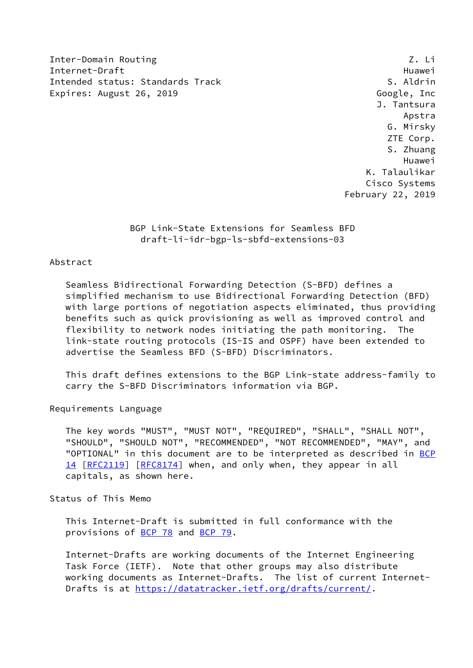Inter-Domain Routing **Z. Litter-Domain Routing** Internet-Draft Huawei Intended status: Standards Track Superintended S. Aldrin Expires: August 26, 2019 Coogle, Inc

 J. Tantsura Apstra G. Mirsky ZTE Corp. S. Zhuang Huawei K. Talaulikar Cisco Systems February 22, 2019

> BGP Link-State Extensions for Seamless BFD draft-li-idr-bgp-ls-sbfd-extensions-03

# Abstract

 Seamless Bidirectional Forwarding Detection (S-BFD) defines a simplified mechanism to use Bidirectional Forwarding Detection (BFD) with large portions of negotiation aspects eliminated, thus providing benefits such as quick provisioning as well as improved control and flexibility to network nodes initiating the path monitoring. The link-state routing protocols (IS-IS and OSPF) have been extended to advertise the Seamless BFD (S-BFD) Discriminators.

 This draft defines extensions to the BGP Link-state address-family to carry the S-BFD Discriminators information via BGP.

Requirements Language

 The key words "MUST", "MUST NOT", "REQUIRED", "SHALL", "SHALL NOT", "SHOULD", "SHOULD NOT", "RECOMMENDED", "NOT RECOMMENDED", "MAY", and "OPTIONAL" in this document are to be interpreted as described in [BCP](https://datatracker.ietf.org/doc/pdf/bcp14) [14](https://datatracker.ietf.org/doc/pdf/bcp14) [[RFC2119\]](https://datatracker.ietf.org/doc/pdf/rfc2119) [\[RFC8174](https://datatracker.ietf.org/doc/pdf/rfc8174)] when, and only when, they appear in all capitals, as shown here.

Status of This Memo

 This Internet-Draft is submitted in full conformance with the provisions of [BCP 78](https://datatracker.ietf.org/doc/pdf/bcp78) and [BCP 79](https://datatracker.ietf.org/doc/pdf/bcp79).

 Internet-Drafts are working documents of the Internet Engineering Task Force (IETF). Note that other groups may also distribute working documents as Internet-Drafts. The list of current Internet- Drafts is at<https://datatracker.ietf.org/drafts/current/>.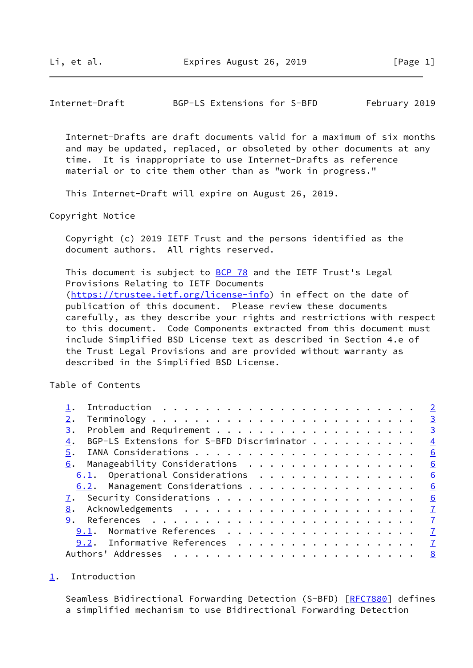<span id="page-1-1"></span>Internet-Draft BGP-LS Extensions for S-BFD February 2019

 Internet-Drafts are draft documents valid for a maximum of six months and may be updated, replaced, or obsoleted by other documents at any time. It is inappropriate to use Internet-Drafts as reference material or to cite them other than as "work in progress."

This Internet-Draft will expire on August 26, 2019.

Copyright Notice

 Copyright (c) 2019 IETF Trust and the persons identified as the document authors. All rights reserved.

This document is subject to [BCP 78](https://datatracker.ietf.org/doc/pdf/bcp78) and the IETF Trust's Legal Provisions Relating to IETF Documents [\(https://trustee.ietf.org/license-info](https://trustee.ietf.org/license-info)) in effect on the date of publication of this document. Please review these documents carefully, as they describe your rights and restrictions with respect to this document. Code Components extracted from this document must include Simplified BSD License text as described in Section 4.e of the Trust Legal Provisions and are provided without warranty as described in the Simplified BSD License.

Table of Contents

|                                                 | $\overline{2}$          |
|-------------------------------------------------|-------------------------|
|                                                 | $\overline{3}$          |
| 3.                                              | $\overline{\mathbf{3}}$ |
| BGP-LS Extensions for S-BFD Discriminator<br>4. | $\overline{4}$          |
| 5.                                              | 6                       |
|                                                 | 6                       |
| 6.1. Operational Considerations                 | 6                       |
| 6.2. Management Considerations                  | 6                       |
|                                                 | <u>6</u>                |
| 8.                                              |                         |
| 9.                                              |                         |
| 9.1. Normative References                       | $\mathbf{Z}$            |
| 9.2. Informative References 7                   |                         |
|                                                 | 8                       |

#### <span id="page-1-0"></span>[1](#page-1-0). Introduction

Seamless Bidirectional Forwarding Detection (S-BFD) [\[RFC7880](https://datatracker.ietf.org/doc/pdf/rfc7880)] defines a simplified mechanism to use Bidirectional Forwarding Detection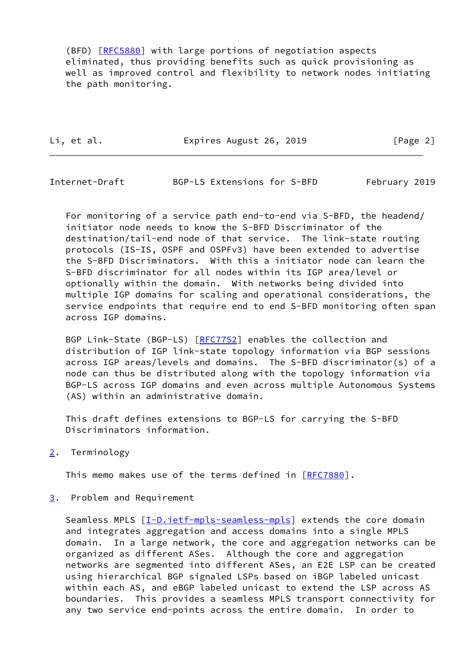(BFD) [[RFC5880](https://datatracker.ietf.org/doc/pdf/rfc5880)] with large portions of negotiation aspects eliminated, thus providing benefits such as quick provisioning as well as improved control and flexibility to network nodes initiating the path monitoring.

Li, et al. **Expires August 26, 2019** [Page 2]

<span id="page-2-1"></span>Internet-Draft BGP-LS Extensions for S-BFD February 2019

 For monitoring of a service path end-to-end via S-BFD, the headend/ initiator node needs to know the S-BFD Discriminator of the destination/tail-end node of that service. The link-state routing protocols (IS-IS, OSPF and OSPFv3) have been extended to advertise the S-BFD Discriminators. With this a initiator node can learn the S-BFD discriminator for all nodes within its IGP area/level or optionally within the domain. With networks being divided into multiple IGP domains for scaling and operational considerations, the service endpoints that require end to end S-BFD monitoring often span across IGP domains.

 BGP Link-State (BGP-LS) [\[RFC7752](https://datatracker.ietf.org/doc/pdf/rfc7752)] enables the collection and distribution of IGP link-state topology information via BGP sessions across IGP areas/levels and domains. The S-BFD discriminator(s) of a node can thus be distributed along with the topology information via BGP-LS across IGP domains and even across multiple Autonomous Systems (AS) within an administrative domain.

 This draft defines extensions to BGP-LS for carrying the S-BFD Discriminators information.

<span id="page-2-0"></span>[2](#page-2-0). Terminology

This memo makes use of the terms defined in [\[RFC7880](https://datatracker.ietf.org/doc/pdf/rfc7880)].

<span id="page-2-2"></span>[3](#page-2-2). Problem and Requirement

Seamless MPLS [[I-D.ietf-mpls-seamless-mpls](#page-7-4)] extends the core domain and integrates aggregation and access domains into a single MPLS domain. In a large network, the core and aggregation networks can be organized as different ASes. Although the core and aggregation networks are segmented into different ASes, an E2E LSP can be created using hierarchical BGP signaled LSPs based on iBGP labeled unicast within each AS, and eBGP labeled unicast to extend the LSP across AS boundaries. This provides a seamless MPLS transport connectivity for any two service end-points across the entire domain. In order to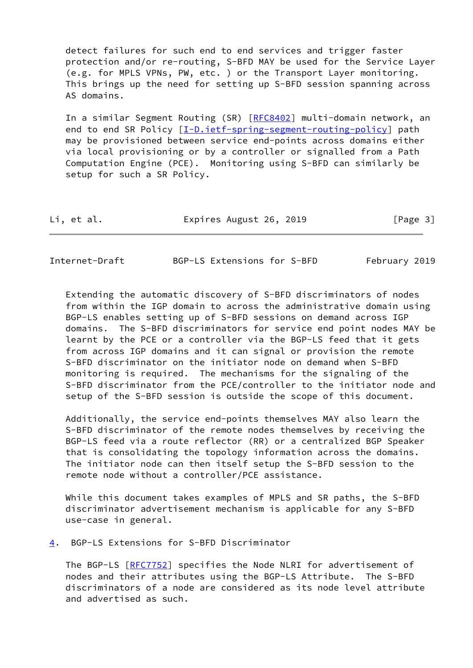detect failures for such end to end services and trigger faster protection and/or re-routing, S-BFD MAY be used for the Service Layer (e.g. for MPLS VPNs, PW, etc. ) or the Transport Layer monitoring. This brings up the need for setting up S-BFD session spanning across AS domains.

 In a similar Segment Routing (SR) [[RFC8402](https://datatracker.ietf.org/doc/pdf/rfc8402)] multi-domain network, an end to end SR Policy [\[I-D.ietf-spring-segment-routing-policy](#page-8-0)] path may be provisioned between service end-points across domains either via local provisioning or by a controller or signalled from a Path Computation Engine (PCE). Monitoring using S-BFD can similarly be setup for such a SR Policy.

| Li, et al. | Expires August 26, 2019 | [Page 3] |
|------------|-------------------------|----------|
|------------|-------------------------|----------|

<span id="page-3-1"></span>Internet-Draft BGP-LS Extensions for S-BFD February 2019

 Extending the automatic discovery of S-BFD discriminators of nodes from within the IGP domain to across the administrative domain using BGP-LS enables setting up of S-BFD sessions on demand across IGP domains. The S-BFD discriminators for service end point nodes MAY be learnt by the PCE or a controller via the BGP-LS feed that it gets from across IGP domains and it can signal or provision the remote S-BFD discriminator on the initiator node on demand when S-BFD monitoring is required. The mechanisms for the signaling of the S-BFD discriminator from the PCE/controller to the initiator node and setup of the S-BFD session is outside the scope of this document.

 Additionally, the service end-points themselves MAY also learn the S-BFD discriminator of the remote nodes themselves by receiving the BGP-LS feed via a route reflector (RR) or a centralized BGP Speaker that is consolidating the topology information across the domains. The initiator node can then itself setup the S-BFD session to the remote node without a controller/PCE assistance.

 While this document takes examples of MPLS and SR paths, the S-BFD discriminator advertisement mechanism is applicable for any S-BFD use-case in general.

<span id="page-3-0"></span>[4](#page-3-0). BGP-LS Extensions for S-BFD Discriminator

 The BGP-LS [[RFC7752\]](https://datatracker.ietf.org/doc/pdf/rfc7752) specifies the Node NLRI for advertisement of nodes and their attributes using the BGP-LS Attribute. The S-BFD discriminators of a node are considered as its node level attribute and advertised as such.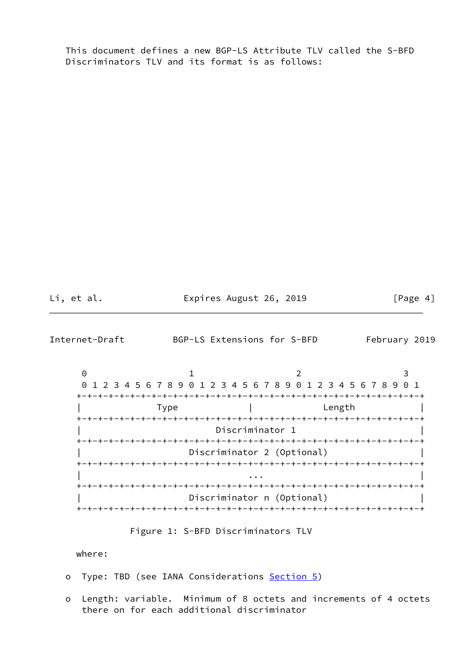This document defines a new BGP-LS Attribute TLV called the S-BFD Discriminators TLV and its format is as follows:

Li, et al. **Expires August 26, 2019** [Page 4]

Internet-Draft BGP-LS Extensions for S-BFD February 2019

0 1 2 3 0 1 2 3 4 5 6 7 8 9 0 1 2 3 4 5 6 7 8 9 0 1 2 3 4 5 6 7 8 9 0 1 +-+-+-+-+-+-+-+-+-+-+-+-+-+-+-+-+-+-+-+-+-+-+-+-+-+-+-+-+-+-+-+-+ | Type | Length | | +-+-+-+-+-+-+-+-+-+-+-+-+-+-+-+-+-+-+-+-+-+-+-+-+-+-+-+-+-+-+-+-+ Discriminator 1 +-+-+-+-+-+-+-+-+-+-+-+-+-+-+-+-+-+-+-+-+-+-+-+-+-+-+-+-+-+-+-+-+ Discriminator 2 (Optional) +-+-+-+-+-+-+-+-+-+-+-+-+-+-+-+-+-+-+-+-+-+-+-+-+-+-+-+-+-+-+-+-+ | ... | ... | ... | ... | ... | ... | ... | ... | ... | ... | ... | ... | ... | ... | ... | ... | ... | ... | <br>| ... | ... | ... | ... | ... | ... | ... | ... | ... | ... | ... | ... | ... | ... | ... | ... | ... | ... | +-+-+-+-+-+-+-+-+-+-+-+-+-+-+-+-+-+-+-+-+-+-+-+-+-+-+-+-+-+-+-+-+ Discriminator n (Optional) | | +-+-+-+-+-+-+-+-+-+-+-+-+-+-+-+-+-+-+-+-+-+-+-+-+-+-+-+-+-+-+-+-+

Figure 1: S-BFD Discriminators TLV

where:

- o Type: TBD (see IANA Considerations [Section 5\)](#page-5-0)
- o Length: variable. Minimum of 8 octets and increments of 4 octets there on for each additional discriminator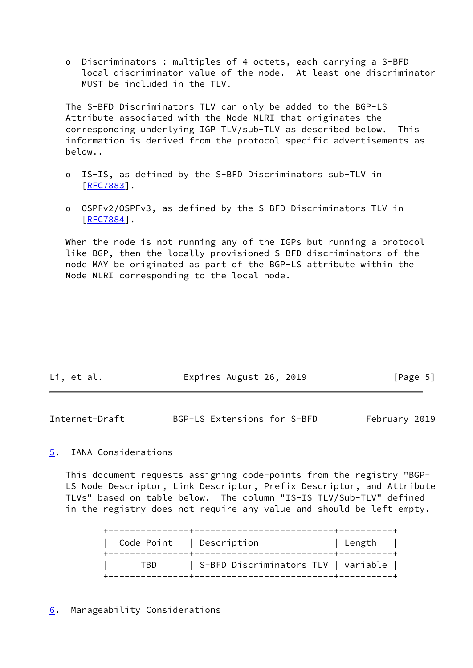o Discriminators : multiples of 4 octets, each carrying a S-BFD local discriminator value of the node. At least one discriminator MUST be included in the TLV.

 The S-BFD Discriminators TLV can only be added to the BGP-LS Attribute associated with the Node NLRI that originates the corresponding underlying IGP TLV/sub-TLV as described below. This information is derived from the protocol specific advertisements as below..

- o IS-IS, as defined by the S-BFD Discriminators sub-TLV in [[RFC7883\]](https://datatracker.ietf.org/doc/pdf/rfc7883).
- o OSPFv2/OSPFv3, as defined by the S-BFD Discriminators TLV in [[RFC7884\]](https://datatracker.ietf.org/doc/pdf/rfc7884).

When the node is not running any of the IGPs but running a protocol like BGP, then the locally provisioned S-BFD discriminators of the node MAY be originated as part of the BGP-LS attribute within the Node NLRI corresponding to the local node.

| Li, et al. | Expires August 26, 2019 | [Page 5] |
|------------|-------------------------|----------|
|            |                         |          |

<span id="page-5-1"></span>

| Internet-Draft | BGP-LS Extensions for S-BFD |  | February 2019 |
|----------------|-----------------------------|--|---------------|
|----------------|-----------------------------|--|---------------|

## <span id="page-5-0"></span>[5](#page-5-0). IANA Considerations

 This document requests assigning code-points from the registry "BGP- LS Node Descriptor, Link Descriptor, Prefix Descriptor, and Attribute TLVs" based on table below. The column "IS-IS TLV/Sub-TLV" defined in the registry does not require any value and should be left empty.

<span id="page-5-2"></span>

| Code Point   Description |                                     | Length |
|--------------------------|-------------------------------------|--------|
| TBD                      | S-BFD Discriminators TLV   variable |        |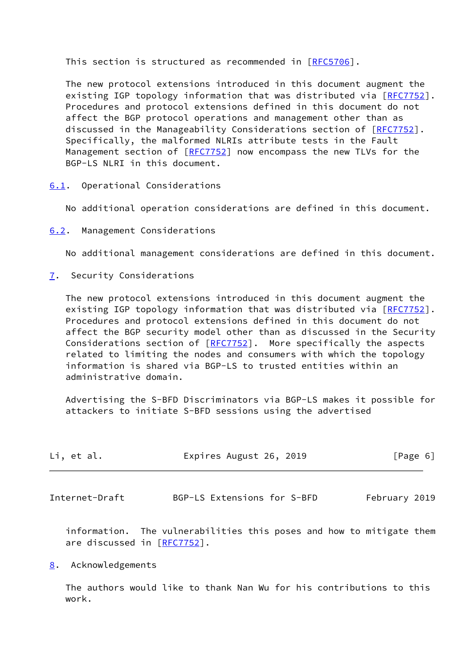This section is structured as recommended in [\[RFC5706](https://datatracker.ietf.org/doc/pdf/rfc5706)].

 The new protocol extensions introduced in this document augment the existing IGP topology information that was distributed via [[RFC7752\]](https://datatracker.ietf.org/doc/pdf/rfc7752). Procedures and protocol extensions defined in this document do not affect the BGP protocol operations and management other than as discussed in the Manageability Considerations section of [\[RFC7752](https://datatracker.ietf.org/doc/pdf/rfc7752)]. Specifically, the malformed NLRIs attribute tests in the Fault Management section of  $[REC7752]$  now encompass the new TLVs for the BGP-LS NLRI in this document.

<span id="page-6-0"></span>[6.1](#page-6-0). Operational Considerations

No additional operation considerations are defined in this document.

<span id="page-6-1"></span>[6.2](#page-6-1). Management Considerations

No additional management considerations are defined in this document.

<span id="page-6-2"></span>[7](#page-6-2). Security Considerations

 The new protocol extensions introduced in this document augment the existing IGP topology information that was distributed via [[RFC7752\]](https://datatracker.ietf.org/doc/pdf/rfc7752). Procedures and protocol extensions defined in this document do not affect the BGP security model other than as discussed in the Security Considerations section of  $[REC7752]$ . More specifically the aspects related to limiting the nodes and consumers with which the topology information is shared via BGP-LS to trusted entities within an administrative domain.

 Advertising the S-BFD Discriminators via BGP-LS makes it possible for attackers to initiate S-BFD sessions using the advertised

<span id="page-6-4"></span>

| Li, et al.     | Expires August 26, 2019     | [Page 6]      |
|----------------|-----------------------------|---------------|
|                |                             |               |
| Internet-Draft | BGP-LS Extensions for S-BFD | February 2019 |

 information. The vulnerabilities this poses and how to mitigate them are discussed in [\[RFC7752](https://datatracker.ietf.org/doc/pdf/rfc7752)].

### <span id="page-6-3"></span>[8](#page-6-3). Acknowledgements

 The authors would like to thank Nan Wu for his contributions to this work.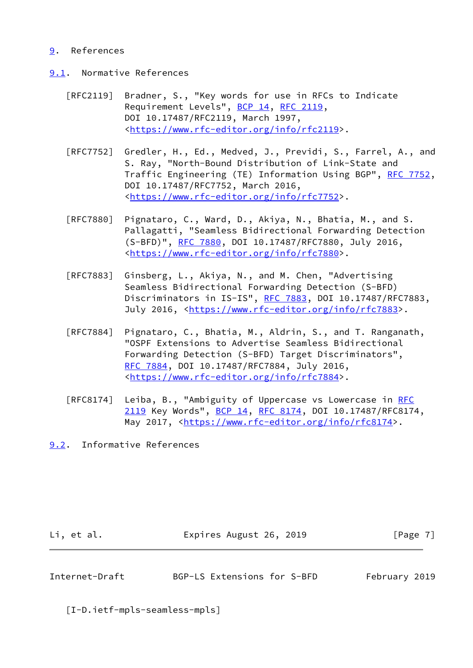### <span id="page-7-0"></span>[9](#page-7-0). References

- <span id="page-7-1"></span>[9.1](#page-7-1). Normative References
	- [RFC2119] Bradner, S., "Key words for use in RFCs to Indicate Requirement Levels", [BCP 14](https://datatracker.ietf.org/doc/pdf/bcp14), [RFC 2119](https://datatracker.ietf.org/doc/pdf/rfc2119), DOI 10.17487/RFC2119, March 1997, <[https://www.rfc-editor.org/info/rfc2119>](https://www.rfc-editor.org/info/rfc2119).
	- [RFC7752] Gredler, H., Ed., Medved, J., Previdi, S., Farrel, A., and S. Ray, "North-Bound Distribution of Link-State and Traffic Engineering (TE) Information Using BGP", [RFC 7752,](https://datatracker.ietf.org/doc/pdf/rfc7752) DOI 10.17487/RFC7752, March 2016, <[https://www.rfc-editor.org/info/rfc7752>](https://www.rfc-editor.org/info/rfc7752).
	- [RFC7880] Pignataro, C., Ward, D., Akiya, N., Bhatia, M., and S. Pallagatti, "Seamless Bidirectional Forwarding Detection (S-BFD)", [RFC 7880](https://datatracker.ietf.org/doc/pdf/rfc7880), DOI 10.17487/RFC7880, July 2016, <[https://www.rfc-editor.org/info/rfc7880>](https://www.rfc-editor.org/info/rfc7880).
	- [RFC7883] Ginsberg, L., Akiya, N., and M. Chen, "Advertising Seamless Bidirectional Forwarding Detection (S-BFD) Discriminators in IS-IS", [RFC 7883](https://datatracker.ietf.org/doc/pdf/rfc7883), DOI 10.17487/RFC7883, July 2016, <<https://www.rfc-editor.org/info/rfc7883>>.
	- [RFC7884] Pignataro, C., Bhatia, M., Aldrin, S., and T. Ranganath, "OSPF Extensions to Advertise Seamless Bidirectional Forwarding Detection (S-BFD) Target Discriminators", [RFC 7884,](https://datatracker.ietf.org/doc/pdf/rfc7884) DOI 10.17487/RFC7884, July 2016, <[https://www.rfc-editor.org/info/rfc7884>](https://www.rfc-editor.org/info/rfc7884).
	- [RFC8174] Leiba, B., "Ambiguity of Uppercase vs Lowercase in [RFC](https://datatracker.ietf.org/doc/pdf/rfc2119) [2119](https://datatracker.ietf.org/doc/pdf/rfc2119) Key Words", [BCP 14](https://datatracker.ietf.org/doc/pdf/bcp14), [RFC 8174,](https://datatracker.ietf.org/doc/pdf/rfc8174) DOI 10.17487/RFC8174, May 2017, [<https://www.rfc-editor.org/info/rfc8174](https://www.rfc-editor.org/info/rfc8174)>.
- <span id="page-7-2"></span>[9.2](#page-7-2). Informative References

Li, et al. Expires August 26, 2019 [Page 7]

<span id="page-7-3"></span>Internet-Draft BGP-LS Extensions for S-BFD February 2019

<span id="page-7-4"></span>[I-D.ietf-mpls-seamless-mpls]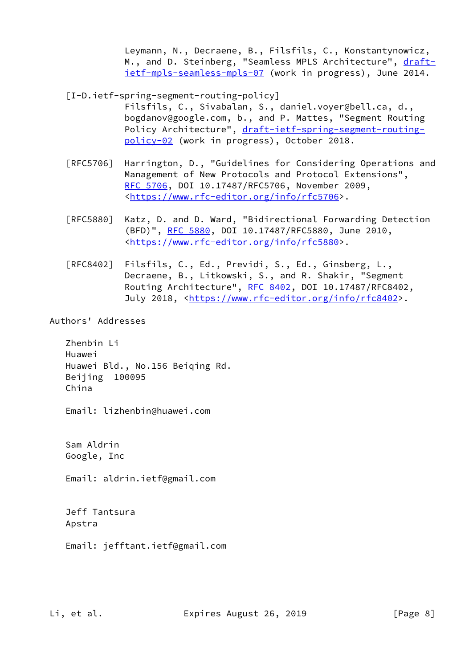Leymann, N., Decraene, B., Filsfils, C., Konstantynowicz, M., and D. Steinberg, "Seamless MPLS Architecture", [draft](https://datatracker.ietf.org/doc/pdf/draft-ietf-mpls-seamless-mpls-07) [ietf-mpls-seamless-mpls-07](https://datatracker.ietf.org/doc/pdf/draft-ietf-mpls-seamless-mpls-07) (work in progress), June 2014.

<span id="page-8-0"></span>[I-D.ietf-spring-segment-routing-policy]

 Filsfils, C., Sivabalan, S., daniel.voyer@bell.ca, d., bogdanov@google.com, b., and P. Mattes, "Segment Routing Policy Architecture", [draft-ietf-spring-segment-routing](https://datatracker.ietf.org/doc/pdf/draft-ietf-spring-segment-routing-policy-02) [policy-02](https://datatracker.ietf.org/doc/pdf/draft-ietf-spring-segment-routing-policy-02) (work in progress), October 2018.

- [RFC5706] Harrington, D., "Guidelines for Considering Operations and Management of New Protocols and Protocol Extensions", [RFC 5706,](https://datatracker.ietf.org/doc/pdf/rfc5706) DOI 10.17487/RFC5706, November 2009, <[https://www.rfc-editor.org/info/rfc5706>](https://www.rfc-editor.org/info/rfc5706).
- [RFC5880] Katz, D. and D. Ward, "Bidirectional Forwarding Detection (BFD)", [RFC 5880,](https://datatracker.ietf.org/doc/pdf/rfc5880) DOI 10.17487/RFC5880, June 2010, <[https://www.rfc-editor.org/info/rfc5880>](https://www.rfc-editor.org/info/rfc5880).
- [RFC8402] Filsfils, C., Ed., Previdi, S., Ed., Ginsberg, L., Decraene, B., Litkowski, S., and R. Shakir, "Segment Routing Architecture", [RFC 8402](https://datatracker.ietf.org/doc/pdf/rfc8402), DOI 10.17487/RFC8402, July 2018, <<https://www.rfc-editor.org/info/rfc8402>>.

Authors' Addresses

 Zhenbin Li Huawei Huawei Bld., No.156 Beiqing Rd. Beijing 100095 China

Email: lizhenbin@huawei.com

 Sam Aldrin Google, Inc

Email: aldrin.ietf@gmail.com

 Jeff Tantsura Apstra

Email: jefftant.ietf@gmail.com